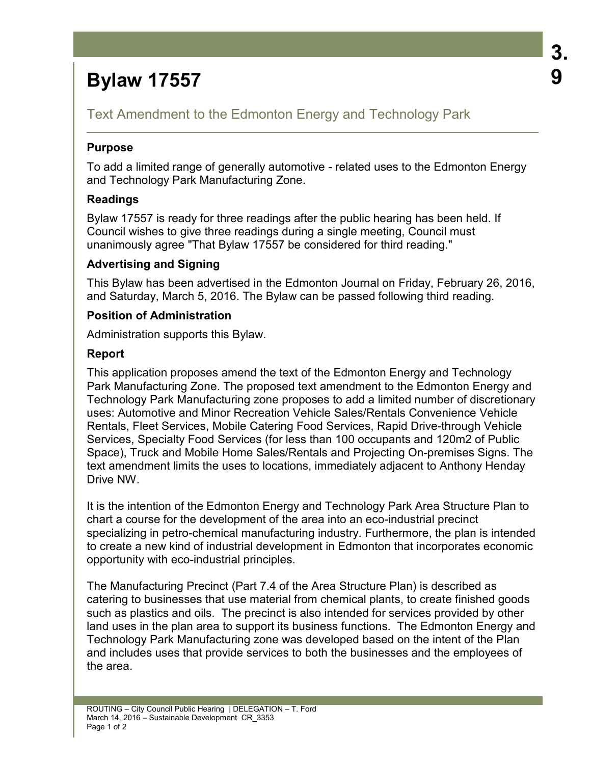# **Bylaw 17557**

# Text Amendment to the Edmonton Energy and Technology Park

## **Purpose**

To add a limited range of generally automotive - related uses to the Edmonton Energy and Technology Park Manufacturing Zone.

# **Readings**

Bylaw 17557 is ready for three readings after the public hearing has been held. If Council wishes to give three readings during a single meeting, Council must unanimously agree "That Bylaw 17557 be considered for third reading."

## **Advertising and Signing**

This Bylaw has been advertised in the Edmonton Journal on Friday, February 26, 2016, and Saturday, March 5, 2016. The Bylaw can be passed following third reading.

## **Position of Administration**

Administration supports this Bylaw.

# **Report**

This application proposes amend the text of the Edmonton Energy and Technology Park Manufacturing Zone. The proposed text amendment to the Edmonton Energy and Technology Park Manufacturing zone proposes to add a limited number of discretionary uses: Automotive and Minor Recreation Vehicle Sales/Rentals Convenience Vehicle Rentals, Fleet Services, Mobile Catering Food Services, Rapid Drive-through Vehicle Services, Specialty Food Services (for less than 100 occupants and 120m2 of Public Space), Truck and Mobile Home Sales/Rentals and Projecting On-premises Signs. The text amendment limits the uses to locations, immediately adjacent to Anthony Henday Drive NW.

It is the intention of the Edmonton Energy and Technology Park Area Structure Plan to chart a course for the development of the area into an eco-industrial precinct specializing in petro-chemical manufacturing industry. Furthermore, the plan is intended to create a new kind of industrial development in Edmonton that incorporates economic opportunity with eco-industrial principles.

The Manufacturing Precinct (Part 7.4 of the Area Structure Plan) is described as catering to businesses that use material from chemical plants, to create finished goods such as plastics and oils. The precinct is also intended for services provided by other land uses in the plan area to support its business functions. The Edmonton Energy and Technology Park Manufacturing zone was developed based on the intent of the Plan and includes uses that provide services to both the businesses and the employees of the area.